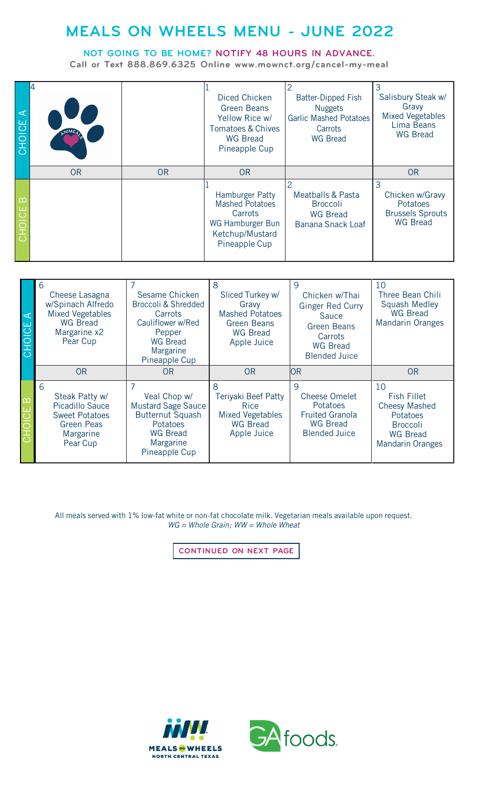## **MEALS ON WHEELS MENU - JUNE 2022**

## **NOT GOING TO BE HOME? NOTIFY 48 HOURS IN ADVANCE.**

**Call or Text 888.869.6325 Online [www.mownct.org/cancel-my-meal](http://www.mownct.org/cancel-my-meal)**

| $\prec$<br>CHOICE  |           |           | Diced Chicken<br><b>Green Beans</b><br>Yellow Rice w/<br><b>Tomatoes &amp; Chives</b><br><b>WG Bread</b><br>Pineapple Cup | <b>Batter-Dipped Fish</b><br><b>Nuggets</b><br><b>Garlic Mashed Potatoes</b><br>Carrots<br><b>WG Bread</b> | 3<br>Salisbury Steak w/<br>Gravy<br><b>Mixed Vegetables</b><br>Lima Beans<br><b>WG Bread</b> |
|--------------------|-----------|-----------|---------------------------------------------------------------------------------------------------------------------------|------------------------------------------------------------------------------------------------------------|----------------------------------------------------------------------------------------------|
|                    | <b>OR</b> | <b>OR</b> | <b>OR</b>                                                                                                                 |                                                                                                            | <b>OR</b>                                                                                    |
| $\infty$<br>CHOICE |           |           | Hamburger Patty<br><b>Mashed Potatoes</b><br>Carrots<br>WG Hamburger Bun<br>Ketchup/Mustard<br>Pineapple Cup              | <b>Meatballs &amp; Pasta</b><br><b>Broccoli</b><br><b>WG Bread</b><br>Banana Snack Loaf                    | 3<br>Chicken w/Gravy<br>Potatoes<br><b>Brussels Sprouts</b><br><b>WG Bread</b>               |

| <b>CHOICE A</b> | 6<br>Cheese Lasagna<br>w/Spinach Alfredo<br><b>Mixed Vegetables</b><br><b>WG Bread</b><br>Margarine x2<br>Pear Cup   | Sesame Chicken<br><b>Broccoli &amp; Shredded</b><br>Carrots<br>Cauliflower w/Red<br>Pepper<br><b>WG Bread</b><br>Margarine<br>Pineapple Cup | 8<br>Sliced Turkey w/<br>Gravy<br><b>Mashed Potatoes</b><br><b>Green Beans</b><br><b>WG Bread</b><br>Apple Juice | 9<br>Chicken w/Thai<br><b>Ginger Red Curry</b><br><b>Sauce</b><br>Green Beans<br>Carrots<br><b>WG Bread</b><br><b>Blended Juice</b> | 10<br>Three Bean Chili<br><b>Squash Medley</b><br><b>WG Bread</b><br><b>Mandarin Oranges</b>                           |
|-----------------|----------------------------------------------------------------------------------------------------------------------|---------------------------------------------------------------------------------------------------------------------------------------------|------------------------------------------------------------------------------------------------------------------|-------------------------------------------------------------------------------------------------------------------------------------|------------------------------------------------------------------------------------------------------------------------|
|                 | <b>OR</b>                                                                                                            | <b>OR</b>                                                                                                                                   | <b>OR</b>                                                                                                        | <b>OR</b>                                                                                                                           | <b>OR</b>                                                                                                              |
| CHOICE B        | 6<br>Steak Patty w/<br><b>Picadillo Sauce</b><br><b>Sweet Potatoes</b><br><b>Green Peas</b><br>Margarine<br>Pear Cup | Veal Chop w/<br><b>Mustard Sage Sauce</b><br><b>Butternut Squash</b><br>Potatoes<br><b>WG Bread</b><br>Margarine<br>Pineapple Cup           | 8<br><b>Teriyaki Beef Patty</b><br><b>Rice</b><br><b>Mixed Vegetables</b><br><b>WG Bread</b><br>Apple Juice      | 9<br><b>Cheese Omelet</b><br><b>Potatoes</b><br><b>Fruited Granola</b><br><b>WG Bread</b><br><b>Blended Juice</b>                   | 10<br>Fish Fillet<br><b>Cheesy Mashed</b><br>Potatoes<br><b>Broccoli</b><br><b>WG Bread</b><br><b>Mandarin Oranges</b> |

All meals served with 1% low-fat white or non-fat chocolate milk. Vegetarian meals available upon request. *WG = Whole Grain; WW = Whole Wheat*

**CONTINUED ON NEXT PAGE**